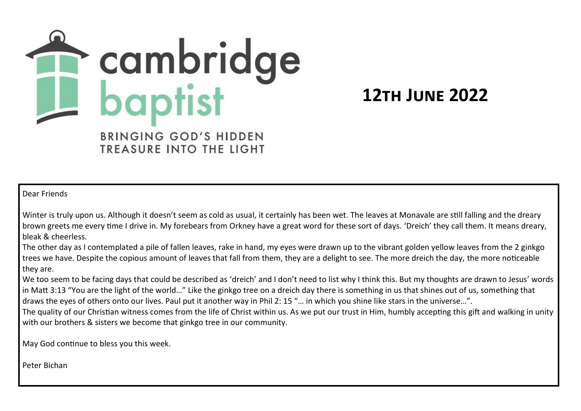

**12th June 2022**

BRINGING GOD'S HIDDEN TREASURE INTO THE LIGHT

Dear Friends

Winter is truly upon us. Although it doesn't seem as cold as usual, it certainly has been wet. The leaves at Monavale are still falling and the dreary brown greets me every time I drive in. My forebears from Orkney have a great word for these sort of days. 'Dreich' they call them. It means dreary, bleak & cheerless.

The other day as I contemplated a pile of fallen leaves, rake in hand, my eyes were drawn up to the vibrant golden yellow leaves from the 2 ginkgo trees we have. Despite the copious amount of leaves that fall from them, they are a delight to see. The more dreich the day, the more noticeable they are.

We too seem to be facing days that could be described as 'dreich' and I don't need to list why I think this. But my thoughts are drawn to Jesus' words in Matt 3:13 "You are the light of the world…" Like the ginkgo tree on a dreich day there is something in us that shines out of us, something that draws the eyes of others onto our lives. Paul put it another way in Phil 2: 15 "… in which you shine like stars in the universe…".

The quality of our Christian witness comes from the life of Christ within us. As we put our trust in Him, humbly accepting this gift and walking in unity with our brothers & sisters we become that ginkgo tree in our community.

May God continue to bless you this week.

Peter Bichan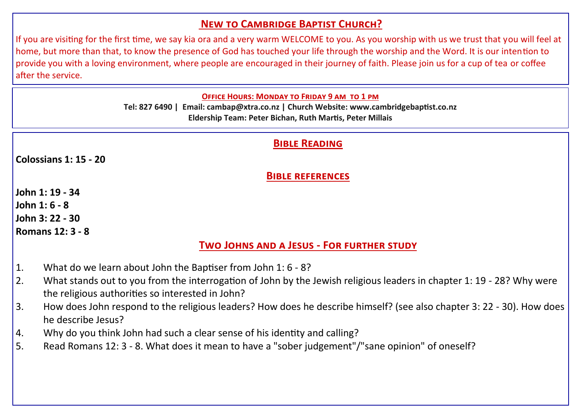# **New to Cambridge Baptist Church?**

If you are visiting for the first time, we say kia ora and a very warm WELCOME to you. As you worship with us we trust that you will feel at home, but more than that, to know the presence of God has touched your life through the worship and the Word. It is our intention to provide you with a loving environment, where people are encouraged in their journey of faith. Please join us for a cup of tea or coffee after the service.

**Office Hours: Monday to Friday 9 am to 1 pm** 

**Tel: 827 6490 | Email: cambap@xtra.co.nz | Church Website: www.cambridgebaptist.co.nz Eldership Team: Peter Bichan, Ruth Martis, Peter Millais**

## **Bible Reading**

**Colossians 1: 15 - 20**

**Bible references**

**John 1: 19 - 34 John 1: 6 - 8 John 3: 22 - 30 Romans 12: 3 - 8**

**Two Johns and a Jesus - For further study**

- 1. What do we learn about John the Baptiser from John 1: 6 8?
- 2. What stands out to you from the interrogation of John by the Jewish religious leaders in chapter 1: 19 28? Why were the religious authorities so interested in John?
- 3. How does John respond to the religious leaders? How does he describe himself? (see also chapter 3: 22 30). How does he describe Jesus?
- 4. Why do you think John had such a clear sense of his identity and calling?
- 5. Read Romans 12: 3 8. What does it mean to have a "sober judgement"/"sane opinion" of oneself?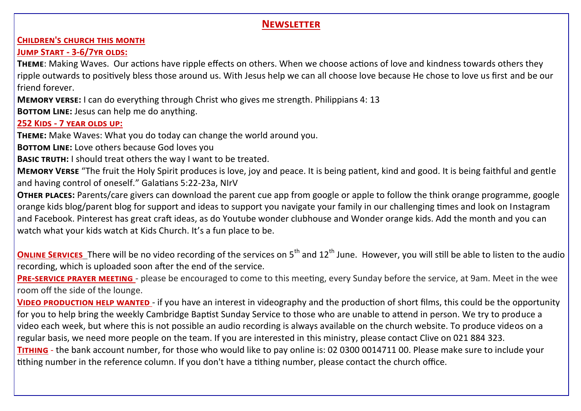## **Newsletter**

#### **Children's church this month**

## **Jump Start - 3-6/7yr olds:**

**Theme**: Making Waves. Our actions have ripple effects on others. When we choose actions of love and kindness towards others they ripple outwards to positively bless those around us. With Jesus help we can all choose love because He chose to love us first and be our friend forever.

**Memory verse:** I can do everything through Christ who gives me strength. Philippians 4: 13

**BOTTOM LINE:** Jesus can help me do anything.

## **252 Kids - 7 year olds up:**

**Theme:** Make Waves: What you do today can change the world around you.

**BOTTOM LINE:** Love others because God loves you

**BASIC TRUTH:** I should treat others the way I want to be treated.

**Memory Verse** "The fruit the Holy Spirit produces is love, joy and peace. It is being patient, kind and good. It is being faithful and gentle and having control of oneself." Galatians 5:22-23a, NIrV

**Other places:** Parents/care givers can download the parent cue app from google or apple to follow the think orange programme, google orange kids blog/parent blog for support and ideas to support you navigate your family in our challenging times and look on Instagram and Facebook. Pinterest has great craft ideas, as do Youtube wonder clubhouse and Wonder orange kids. Add the month and you can watch what your kids watch at Kids Church. It's a fun place to be.

**ONLINE SERVICES** There will be no video recording of the services on 5<sup>th</sup> and 12<sup>th</sup> June. However, you will still be able to listen to the audio recording, which is uploaded soon after the end of the service.

**Pre-service prayer meeting** - please be encouraged to come to this meeting, every Sunday before the service, at 9am. Meet in the wee room off the side of the lounge.

**VIDEO PRODUCTION HELP WANTED** - if you have an interest in videography and the production of short films, this could be the opportunity for you to help bring the weekly Cambridge Baptist Sunday Service to those who are unable to attend in person. We try to produce a video each week, but where this is not possible an audio recording is always available on the church website. To produce videos on a regular basis, we need more people on the team. If you are interested in this ministry, please contact Clive on 021 884 323.

**Tithing** - the bank account number, for those who would like to pay online is: 02 0300 0014711 00. Please make sure to include your tithing number in the reference column. If you don't have a tithing number, please contact the church office.